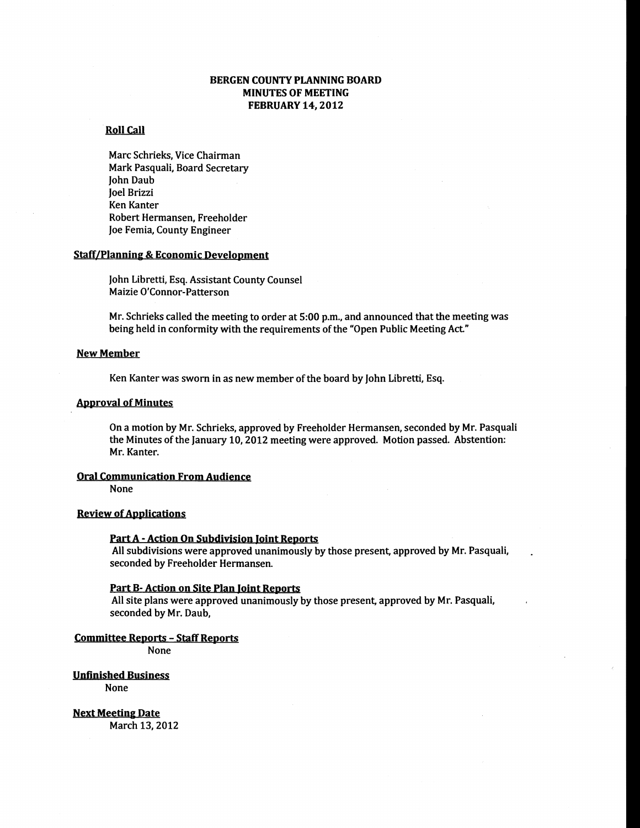## BERGEN COUNTY PLANNING BOARD MINUTES OF MEETING FEBRUARY 14, 2012

### **Roll Call**

Marc Schrieks, Vice Chairman Mark Pasquali, Board Secretary John Daub Joel Brizzi Ken Kanter Robert Hermansen, Freeholder Joe Femia, County Engineer

## Staff/Planning & Economic Development

John Libretti, Esq. Assistant County Counsel Maizie O'Connor-Patterson

Mr. Schrieks called the meeting to order at 5:00 p.m., and announced that the meeting was being held in conformity with the requirements of the "Open Public Meeting Act."

## New Member

Ken Kanter was sworn in as new member of the board by John Libretti, Esq.

### **Approval of Minutes**

On a motion by Mr. Schrieks, approved by Freeholder Hermansen, seconded by Mr. Pasquali the Minutes of the January 10, 2012 meeting were approved. Motion passed. Abstention: Mr. Kanter.

### Oral Communication From Audience

None

## **Review of Applications**

#### PartA - Action On Subdivision Joint Reports

All subdivisions were approved unanimously by those present, approved by Mr. Pasquali, seconded by Freeholder Hermansen.

#### Part B- Action on Site Plan Joint Reports

All site plans were approved unanimously by those present, approved by Mr. Pasquali, seconded by Mr. Daub,

#### Committee Reports - Staff Reports

None

Unfinished Business None

Next Meeting Date March 13,2012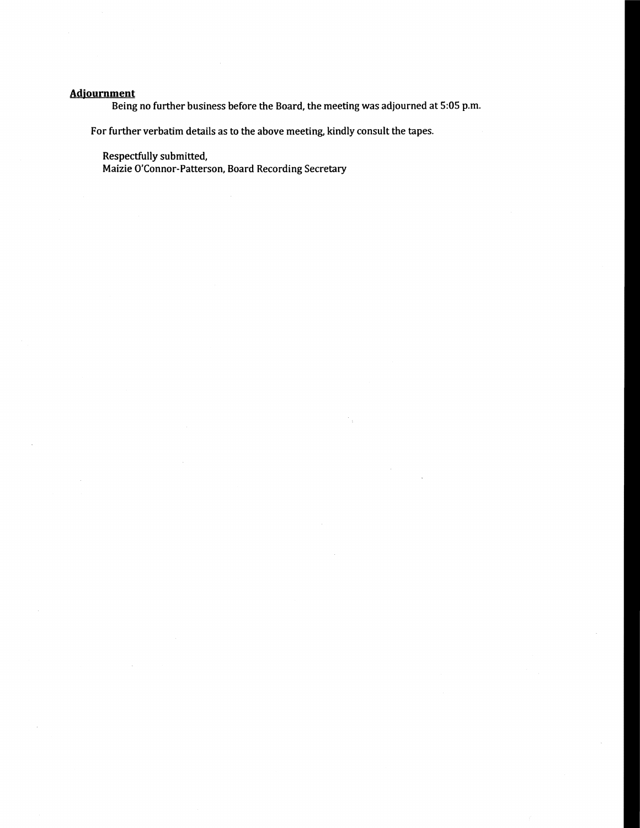# **Adjournment**

Being no further business before the Board, the meeting was adjourned at 5:05 p.m.

For further verbatim details as to the above meeting, kindly consult the tapes.

Respectfully submitted,

Maizie O'Connor-Patterson, Board Recording Secretary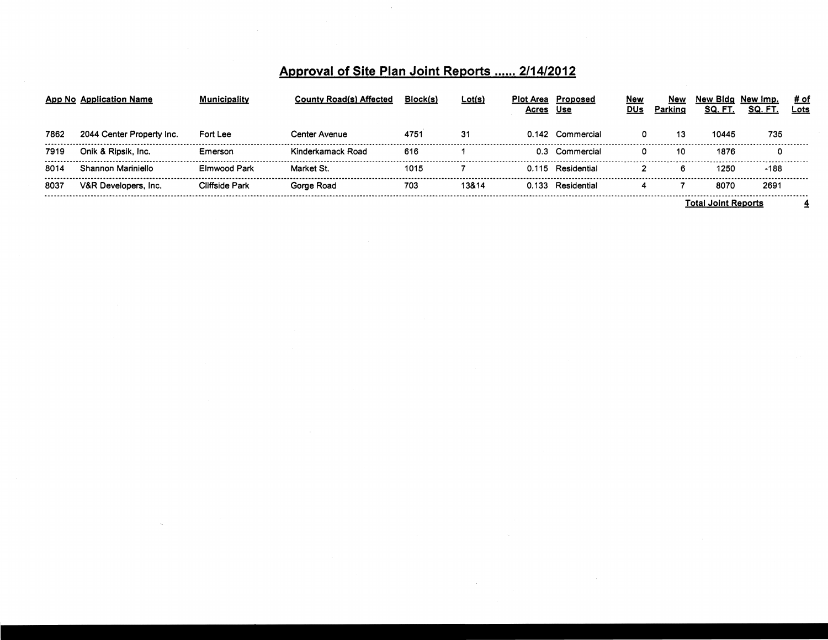# Approval of Site Plan Joint Reports ...... 2/14/2012

 $\mathcal{L}$ 

|      | App No Application Name   | <b>Municipality</b>   | <b>County Road(s) Affected</b> | Block(s) | <u>Lot(s)</u> | Plot Area<br>Acres | Proposed<br>Use   | <u>New</u><br>DUs | New<br>Parking | New Bidg<br>SQ. FT      | New Imp.<br>SQ. FT | # of<br>Lots |  |
|------|---------------------------|-----------------------|--------------------------------|----------|---------------|--------------------|-------------------|-------------------|----------------|-------------------------|--------------------|--------------|--|
| 7862 | 2044 Center Property Inc. | Fort Lee              | Center Avenue                  | 4751     |               |                    | 0.142 Commercial  |                   | 13             | 10445                   | 735                |              |  |
| 7919 | Onik & Ripsik, Inc.       | Emerson               | Kinderkamack Road              | 616      |               |                    | 0.3 Commercial    |                   | 10.            | 1876                    |                    |              |  |
| 8014 | Shannon Mariniello        | Elmwood Park          | Market St.                     | 1015     |               |                    | 0.115 Residential |                   |                | 1250                    | $-188$             |              |  |
| 8037 | V&R Developers, Inc.      | <b>Cliffside Park</b> | Gorge Road                     | 703      | 13&14         |                    | 0.133 Residential |                   |                | 8070                    | 269'               |              |  |
|      |                           |                       |                                |          |               |                    |                   |                   |                | <br>Total Joint Reports |                    |              |  |